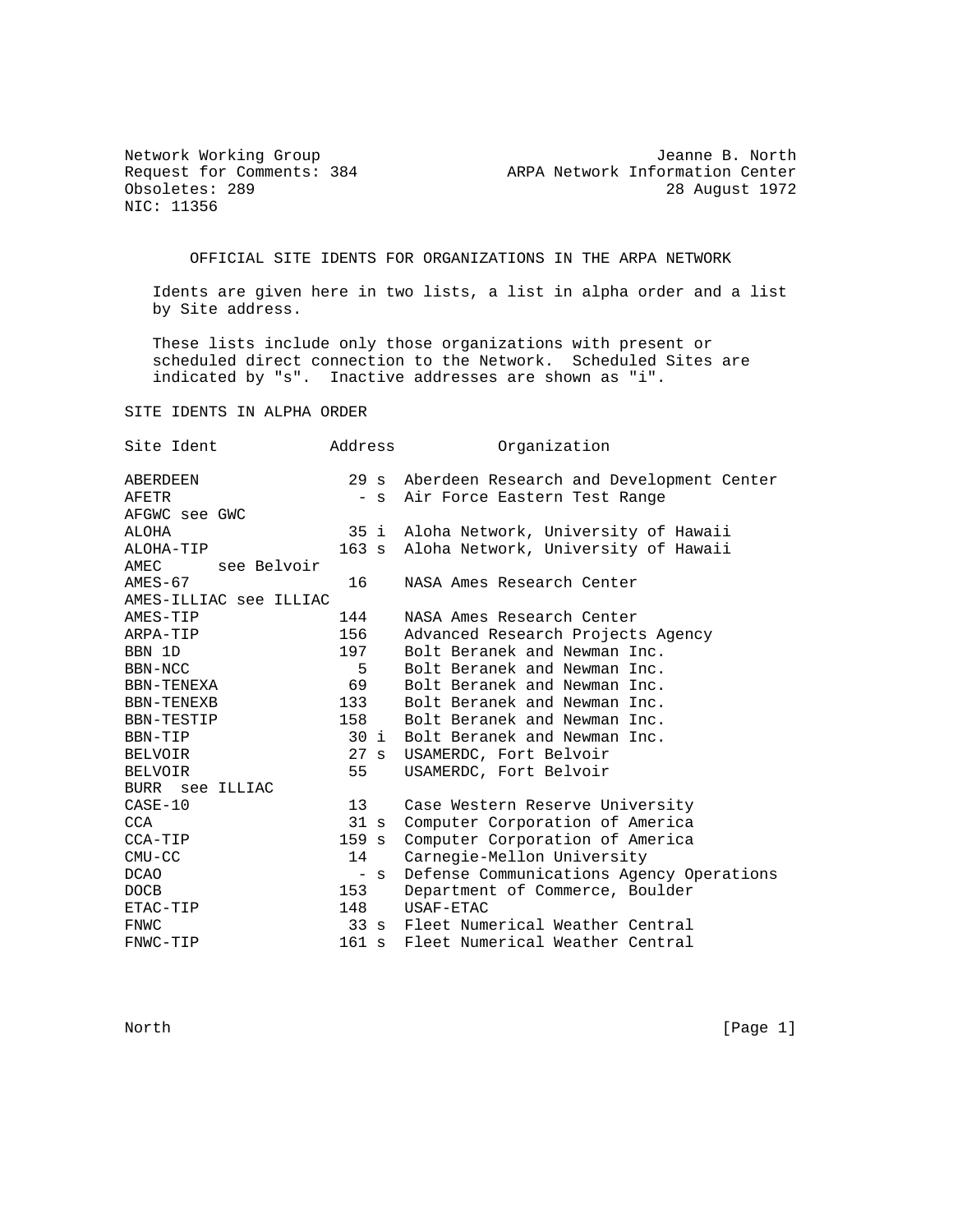NIC: 11356

Network Working Group Jeanne B. North Request for Comments: 384 ARPA Network Information Center Obsoletes: 289 28 August 1972

OFFICIAL SITE IDENTS FOR ORGANIZATIONS IN THE ARPA NETWORK

 Idents are given here in two lists, a list in alpha order and a list by Site address.

 These lists include only those organizations with present or scheduled direct connection to the Network. Scheduled Sites are indicated by "s". Inactive addresses are shown as "i".

SITE IDENTS IN ALPHA ORDER

| Site Ident             | Address        | Organization                                  |
|------------------------|----------------|-----------------------------------------------|
| <b>ABERDEEN</b>        |                | 29 s Aberdeen Research and Development Center |
| AFETR                  | $-$ S          | Air Force Eastern Test Range                  |
| AFGWC see GWC          |                |                                               |
| ALOHA                  | 35 i           | Aloha Network, University of Hawaii           |
| ALOHA-TIP              |                | 163 s Aloha Network, University of Hawaii     |
| AMEC<br>see Belvoir    |                |                                               |
| $AMES-67$              | 16             | NASA Ames Research Center                     |
| AMES-ILLIAC see ILLIAC |                |                                               |
| AMES-TIP               | 144            | NASA Ames Research Center                     |
| ARPA-TIP               | 156            | Advanced Research Projects Agency             |
| BBN 1D                 | 197            | Bolt Beranek and Newman Inc.                  |
| BBN-NCC                | 5              | Bolt Beranek and Newman Inc.                  |
| BBN-TENEXA             | 69             | Bolt Beranek and Newman Inc.                  |
| BBN-TENEXB             | 133            | Bolt Beranek and Newman Inc.                  |
| BBN-TESTIP             | 158            | Bolt Beranek and Newman Inc.                  |
| BBN-TIP                | 30 i           | Bolt Beranek and Newman Inc.                  |
| BELVOIR                | $27 \text{ s}$ | USAMERDC, Fort Belvoir                        |
| <b>BELVOIR</b>         | 55             | USAMERDC, Fort Belvoir                        |
| BURR see ILLIAC        |                |                                               |
| $CASE-10$              | 13             | Case Western Reserve University               |
| CCA                    | 31 s           | Computer Corporation of America               |
| CCA-TIP                | 159 s          | Computer Corporation of America               |
| $CMU-CC$               | 14             | Carnegie-Mellon University                    |
| <b>DCAO</b>            | $-$ S          | Defense Communications Agency Operations      |
| <b>DOCB</b>            | 153            | Department of Commerce, Boulder               |
| ETAC-TIP               | 148            | USAF-ETAC                                     |
| FNWC                   | $33 \text{ s}$ | Fleet Numerical Weather Central               |
| FNWC-TIP               | 161 s          | Fleet Numerical Weather Central               |

North [Page 1] which is a set of the set of the set of the set of the set of the set of the set of the set of the set of the set of the set of the set of the set of the set of the set of the set of the set of the set of th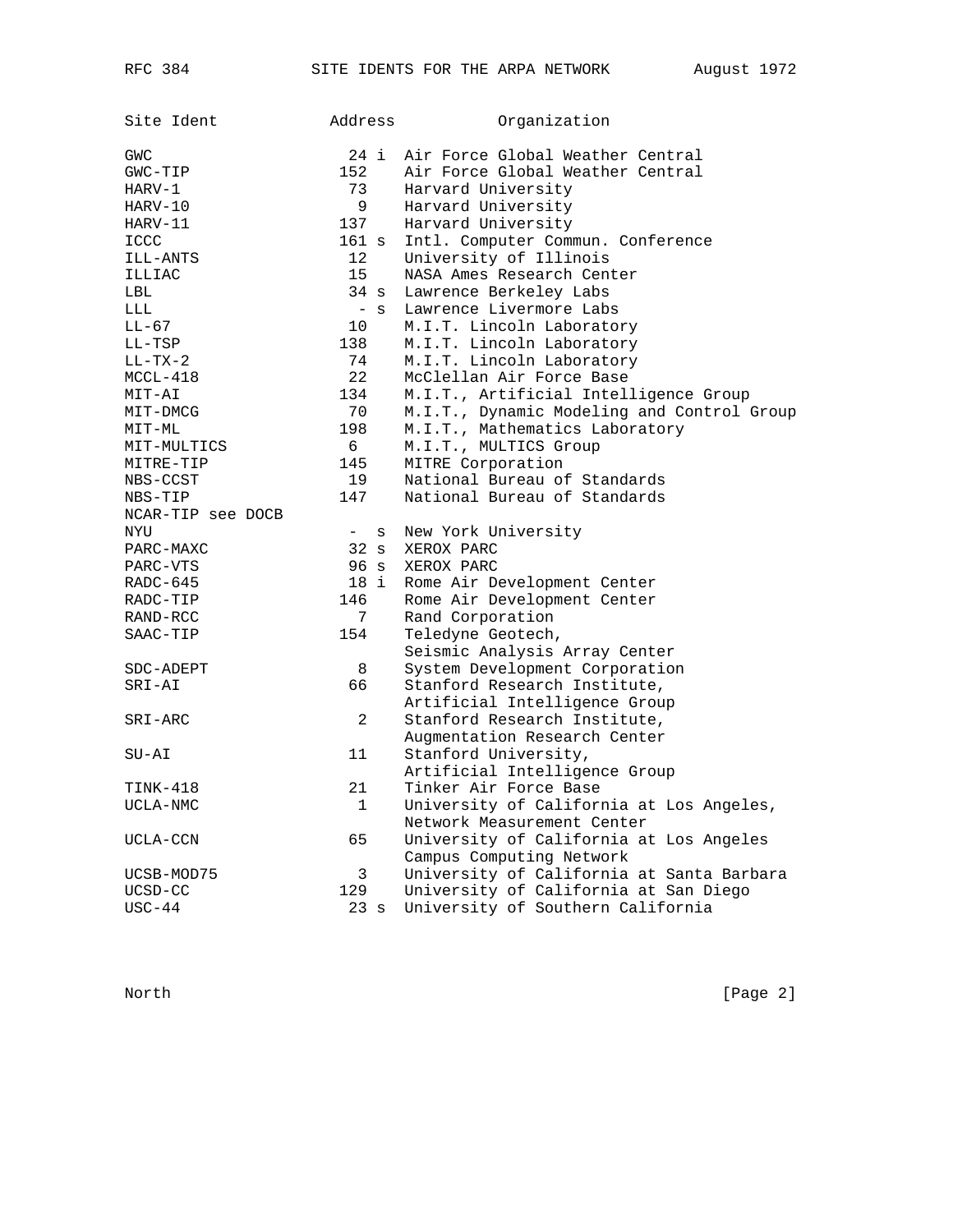| Site Ident        | Address                       | Organization                                                  |
|-------------------|-------------------------------|---------------------------------------------------------------|
| GWC               | 24 i                          | Air Force Global Weather Central                              |
| $GWC-TIP$         | 152                           | Air Force Global Weather Central                              |
| $HARV-1$          | 73                            | Harvard University                                            |
| HARV-10           | 9                             | Harvard University                                            |
| HARV-11           | 137                           | Harvard University                                            |
| ICCC              | 161 s                         | Intl. Computer Commun. Conference                             |
| ILL-ANTS          | 12                            | University of Illinois                                        |
| ILLIAC            | 15                            | NASA Ames Research Center                                     |
| LBL               | $34 \text{ s}$                | Lawrence Berkeley Labs                                        |
| LLL               | $-$ S                         | Lawrence Livermore Labs                                       |
| $LL-67$           | 10                            | M.I.T. Lincoln Laboratory                                     |
| LL-TSP            | 138                           | M.I.T. Lincoln Laboratory                                     |
| $LL-TX-2$         | 74                            | M.I.T. Lincoln Laboratory                                     |
| $MCCL-418$        | 22                            | McClellan Air Force Base                                      |
| MIT-AI            | 134                           | M.I.T., Artificial Intelligence Group                         |
| MIT-DMCG          | 70                            | M.I.T., Dynamic Modeling and Control Group                    |
| MIT-ML            | 198                           | M.I.T., Mathematics Laboratory                                |
| MIT-MULTICS       | 6                             | M.I.T., MULTICS Group                                         |
| MITRE-TIP         | 145                           | MITRE Corporation                                             |
| NBS-CCST          | 19                            | National Bureau of Standards                                  |
| NBS-TIP           | 147                           | National Bureau of Standards                                  |
| NCAR-TIP see DOCB |                               |                                                               |
| NYU               | $\overline{\phantom{a}}$<br>S | New York University                                           |
| PARC-MAXC         | $32 \text{ s}$                | XEROX PARC                                                    |
| PARC-VTS          | 96 s                          | XEROX PARC                                                    |
| RADC-645          | 18 i                          | Rome Air Development Center                                   |
| RADC-TIP          | 146                           | Rome Air Development Center                                   |
| RAND-RCC          | 7                             | Rand Corporation                                              |
| SAAC-TIP          | 154                           | Teledyne Geotech,                                             |
|                   |                               | Seismic Analysis Array Center                                 |
| SDC-ADEPT         | 8                             | System Development Corporation                                |
| SRI-AI            | 66                            | Stanford Research Institute,                                  |
|                   | 2                             | Artificial Intelligence Group<br>Stanford Research Institute, |
| SRI-ARC           |                               | Augmentation Research Center                                  |
| $SU-AI$           | 11                            | Stanford University,                                          |
|                   |                               | Artificial Intelligence Group                                 |
| TINK-418          | 21                            | Tinker Air Force Base                                         |
| UCLA-NMC          | 1                             | University of California at Los Angeles,                      |
|                   |                               | Network Measurement Center                                    |
| UCLA-CCN          | 65                            | University of California at Los Angeles                       |
|                   |                               | Campus Computing Network                                      |
| UCSB-MOD75        | 3                             | University of California at Santa Barbara                     |
| UCSD-CC           | 129                           | University of California at San Diego                         |
| $USC-44$          | 23s                           | University of Southern California                             |
|                   |                               |                                                               |

North [Page 2]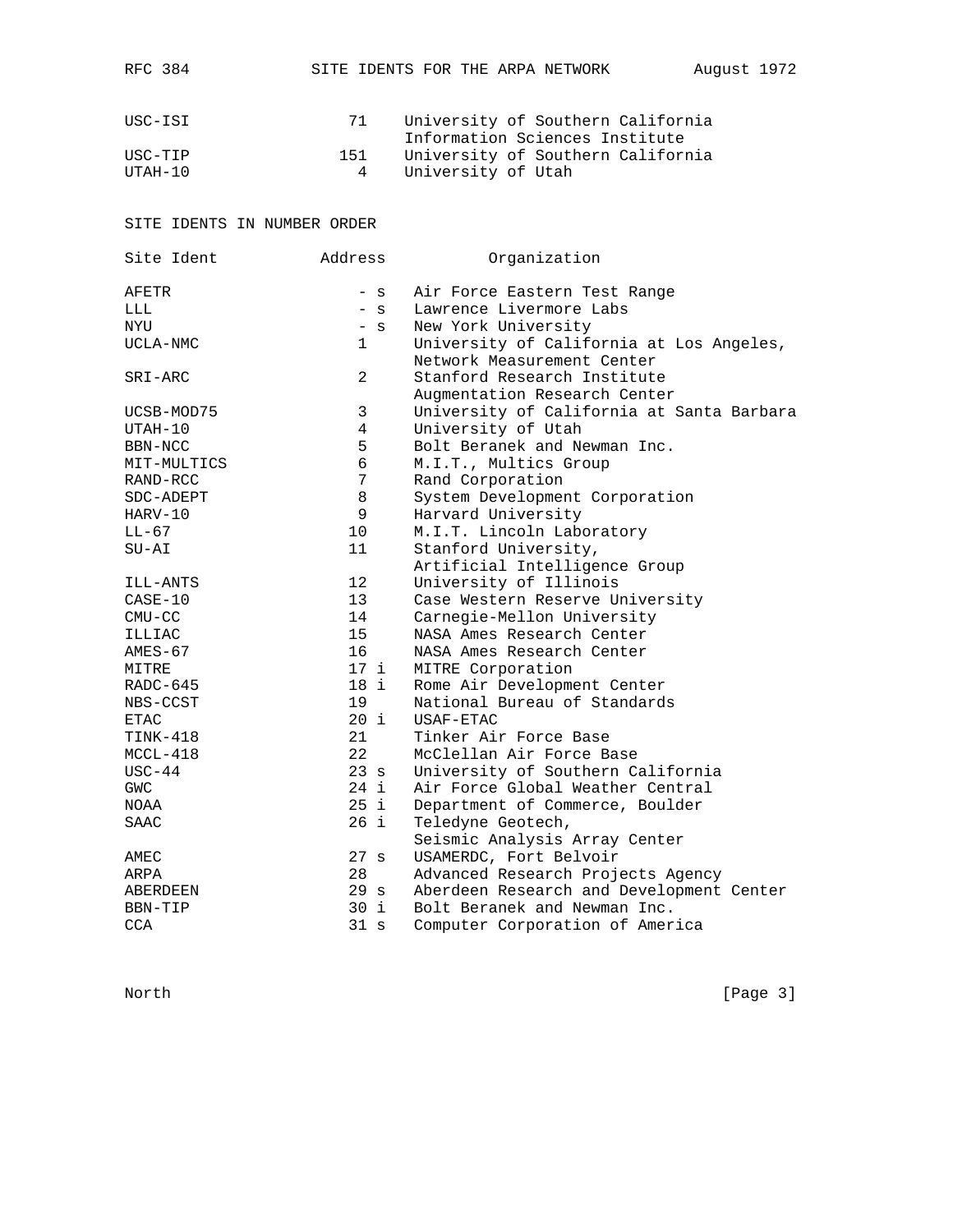| USC-ISI              | 71       | University of Southern California<br>Information Sciences Institute |
|----------------------|----------|---------------------------------------------------------------------|
| IISC-TIP<br>TITAH-10 | 151<br>4 | University of Southern California<br>University of Utah             |

RFC 384 SITE IDENTS FOR THE ARPA NETWORK August 1972

## SITE IDENTS IN NUMBER ORDER

| Site Ident   | Address         | Organization                                                           |
|--------------|-----------------|------------------------------------------------------------------------|
| <b>AFETR</b> | - s             | Air Force Eastern Test Range                                           |
| LLL          | $-$ S           | Lawrence Livermore Labs                                                |
| NYU          | $-$ S           | New York University                                                    |
| UCLA-NMC     | $\mathbf{1}$    | University of California at Los Angeles,<br>Network Measurement Center |
| SRI-ARC      | $\overline{2}$  | Stanford Research Institute<br>Augmentation Research Center            |
| UCSB-MOD75   | 3               | University of California at Santa Barbara                              |
| UTAH-10      | $\overline{4}$  | University of Utah                                                     |
| BBN-NCC      | 5               | Bolt Beranek and Newman Inc.                                           |
| MIT-MULTICS  | 6               | M.I.T., Multics Group                                                  |
| RAND-RCC     | 7               | Rand Corporation                                                       |
| SDC-ADEPT    | 8               | System Development Corporation                                         |
| HARV-10      | 9               | Harvard University                                                     |
| $LL-67$      | 10              | M.I.T. Lincoln Laboratory                                              |
| $SU-AI$      | 11              | Stanford University,                                                   |
|              |                 | Artificial Intelligence Group                                          |
| ILL-ANTS     | 12              | University of Illinois                                                 |
| $CASE-10$    | 13              | Case Western Reserve University                                        |
| $CMU-CC$     | 14              | Carnegie-Mellon University                                             |
| ILLIAC       | 15              | NASA Ames Research Center                                              |
| $AMES-67$    | 16              | NASA Ames Research Center                                              |
| MITRE        | 17 <sub>i</sub> | MITRE Corporation                                                      |
| RADC-645     | 18 i            | Rome Air Development Center                                            |
| NBS-CCST     | 19              | National Bureau of Standards                                           |
| <b>ETAC</b>  | $20$ i          | USAF-ETAC                                                              |
| $TINK-418$   | 21              | Tinker Air Force Base                                                  |
| $MCCL-418$   | 22              | McClellan Air Force Base                                               |
| $USC-44$     | 23s             | University of Southern California                                      |
| <b>GWC</b>   | 24 i            | Air Force Global Weather Central                                       |
| NOAA         | 25 i            | Department of Commerce, Boulder                                        |
| <b>SAAC</b>  | 26 i            | Teledyne Geotech,                                                      |
|              |                 | Seismic Analysis Array Center                                          |
| AMEC         | 27 s            | USAMERDC, Fort Belvoir                                                 |
| ARPA         | 28              | Advanced Research Projects Agency                                      |
| ABERDEEN     | 29 <sub>s</sub> | Aberdeen Research and Development Center                               |
| BBN-TIP      | 30 i            | Bolt Beranek and Newman Inc.                                           |
| <b>CCA</b>   | 31 s            | Computer Corporation of America                                        |

North [Page 3]